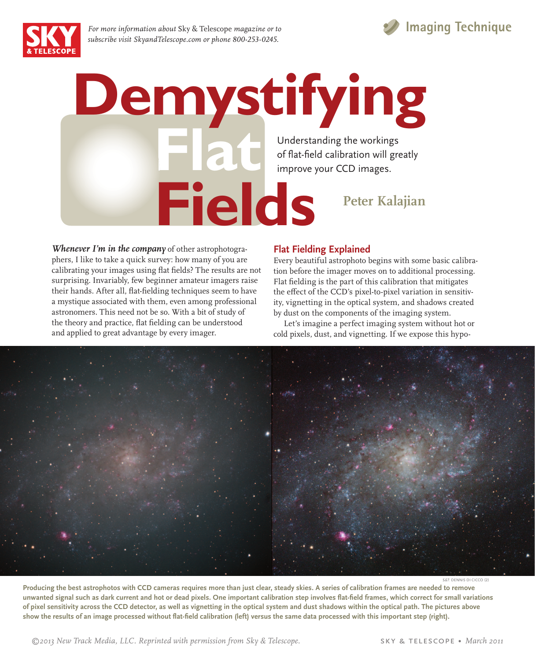

*For more information about* Sky & Telescope *magazine or to subscribe visit SkyandTelescope.com or phone 800-253-0245.*



*Whenever I'm in the company* of other astrophotographers, I like to take a quick survey: how many of you are calibrating your images using flat fields? The results are not surprising. Invariably, few beginner amateur imagers raise their hands. After all, flat-fielding techniques seem to have a mystique associated with them, even among professional astronomers. This need not be so. With a bit of study of the theory and practice, flat fielding can be understood and applied to great advantage by every imager.

# **Flat Fielding Explained**

Every beautiful astrophoto begins with some basic calibration before the imager moves on to additional processing. Flat fielding is the part of this calibration that mitigates the effect of the CCD's pixel-to-pixel variation in sensitivity, vignetting in the optical system, and shadows created by dust on the components of the imaging system.

 Let's imagine a perfect imaging system without hot or cold pixels, dust, and vignetting. If we expose this hypo-



**Producing the best astrophotos with CCD cameras requires more than just clear, steady skies. A series of calibration frames are needed to remove**  unwanted signal such as dark current and hot or dead pixels. One important calibration step involves flat-field frames, which correct for small variations **of pixel sensitivity across the CCD detector, as well as vignetting in the optical system and dust shadows within the optical path. The pictures above**  show the results of an image processed without flat-field calibration (left) versus the same data processed with this important step (right).

 *©2013 New Track Media, LLC. Reprinted with permission from Sky & Telescope.* sky & telescope • *March 2011*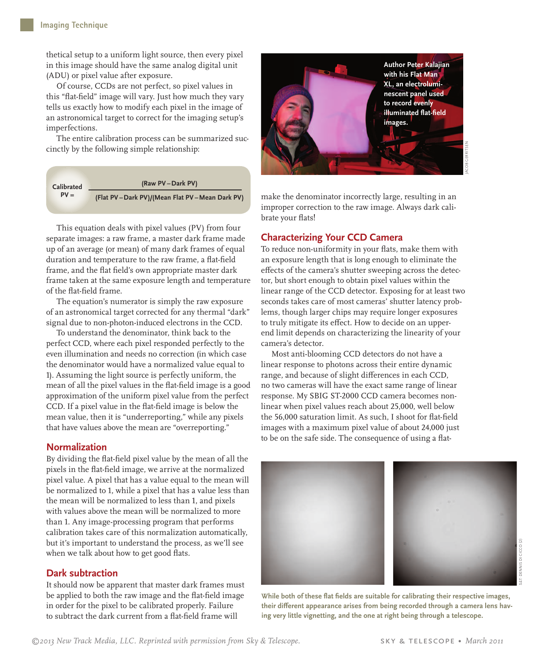thetical setup to a uniform light source, then every pixel in this image should have the same analog digital unit (ADU) or pixel value after exposure.

 Of course, CCDs are not perfect, so pixel values in this "flat-field" image will vary. Just how much they vary tells us exactly how to modify each pixel in the image of an astronomical target to correct for the imaging setup's imperfections.

 The entire calibration process can be summarized succinctly by the following simple relationship:



This equation deals with pixel values (PV) from four separate images: a raw frame, a master dark frame made up of an average (or mean) of many dark frames of equal duration and temperature to the raw frame, a flat-field frame, and the flat field's own appropriate master dark frame taken at the same exposure length and temperature of the flat-field frame.

The equation's numerator is simply the raw exposure of an astronomical target corrected for any thermal "dark" signal due to non-photon-induced electrons in the CCD.

To understand the denominator, think back to the perfect CCD, where each pixel responded perfectly to the even illumination and needs no correction (in which case the denominator would have a normalized value equal to 1). Assuming the light source is perfectly uniform, the mean of all the pixel values in the flat-field image is a good approximation of the uniform pixel value from the perfect CCD. If a pixel value in the flat-field image is below the mean value, then it is "underreporting," while any pixels that have values above the mean are "overreporting."

# **Normalization**

By dividing the flat-field pixel value by the mean of all the pixels in the flat-field image, we arrive at the normalized pixel value. A pixel that has a value equal to the mean will be normalized to 1, while a pixel that has a value less than the mean will be normalized to less than 1, and pixels with values above the mean will be normalized to more than 1. Any image-processing program that performs calibration takes care of this normalization automatically, but it's important to understand the process, as we'll see when we talk about how to get good flats.

# **Dark subtraction**

It should now be apparent that master dark frames must be applied to both the raw image and the flat-field image in order for the pixel to be calibrated properly. Failure to subtract the dark current from a flat-field frame will



make the denominator incorrectly large, resulting in an improper correction to the raw image. Always dark calibrate your flats!

### **Characterizing Your CCD Camera**

To reduce non-uniformity in your flats, make them with an exposure length that is long enough to eliminate the effects of the camera's shutter sweeping across the detector, but short enough to obtain pixel values within the linear range of the CCD detector. Exposing for at least two seconds takes care of most cameras' shutter latency problems, though larger chips may require longer exposures to truly mitigate its effect. How to decide on an upperend limit depends on characterizing the linearity of your camera's detector.

Most anti-blooming CCD detectors do not have a linear response to photons across their entire dynamic range, and because of slight differences in each CCD, no two cameras will have the exact same range of linear response. My SBIG ST-2000 CCD camera becomes nonlinear when pixel values reach about 25,000, well below the 56,000 saturation limit. As such, I shoot for flat-field images with a maximum pixel value of about 24,000 just to be on the safe side. The consequence of using a flat-



While both of these flat fields are suitable for calibrating their respective images, their different appearance arises from being recorded through a camera lens hav**ing very little vignetting, and the one at right being through a telescope.**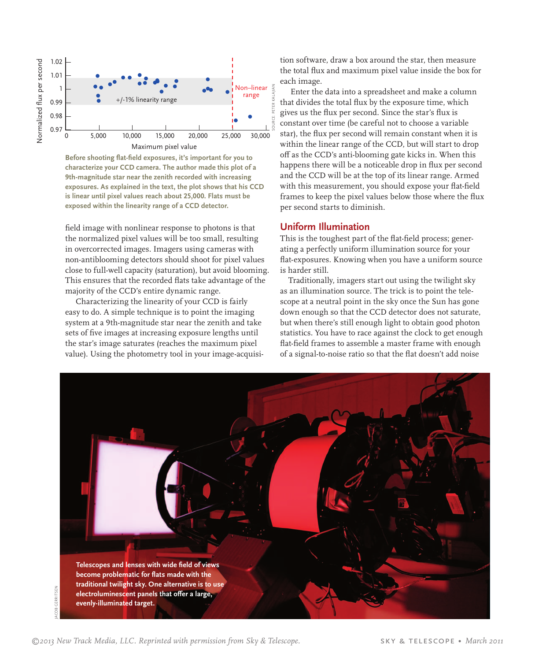

Before shooting flat-field exposures, it's important for you to **characterize your CCD camera. The author made this plot of a 9th-magnitude star near the zenith recorded with increasing exposures. As explained in the text, the plot shows that his CCD is linear until pixel values reach about 25,000. Flats must be exposed within the linearity range of a CCD detector.**

field image with nonlinear response to photons is that the normalized pixel values will be too small, resulting in overcorrected images. Imagers using cameras with non-antiblooming detectors should shoot for pixel values close to full-well capacity (saturation), but avoid blooming. This ensures that the recorded flats take advantage of the majority of the CCD's entire dynamic range.

Characterizing the linearity of your CCD is fairly easy to do. A simple technique is to point the imaging system at a 9th-magnitude star near the zenith and take sets of five images at increasing exposure lengths until the star's image saturates (reaches the maximum pixel value). Using the photometry tool in your image-acquisition software, draw a box around the star, then measure the total flux and maximum pixel value inside the box for each image.

Enter the data into a spreadsheet and make a column that divides the total flux by the exposure time, which gives us the flux per second. Since the star's flux is constant over time (be careful not to choose a variable star), the flux per second will remain constant when it is within the linear range of the CCD, but will start to drop off as the CCD's anti-blooming gate kicks in. When this happens there will be a noticeable drop in flux per second and the CCD will be at the top of its linear range. Armed with this measurement, you should expose your flat-field frames to keep the pixel values below those where the flux per second starts to diminish.

### **Uniform Illumination**

This is the toughest part of the flat-field process; generating a perfectly uniform illumination source for your flat-exposures. Knowing when you have a uniform source is harder still.

 Traditionally, imagers start out using the twilight sky as an illumination source. The trick is to point the telescope at a neutral point in the sky once the Sun has gone down enough so that the CCD detector does not saturate, but when there's still enough light to obtain good photon statistics. You have to race against the clock to get enough flat-field frames to assemble a master frame with enough of a signal-to-noise ratio so that the flat doesn't add noise